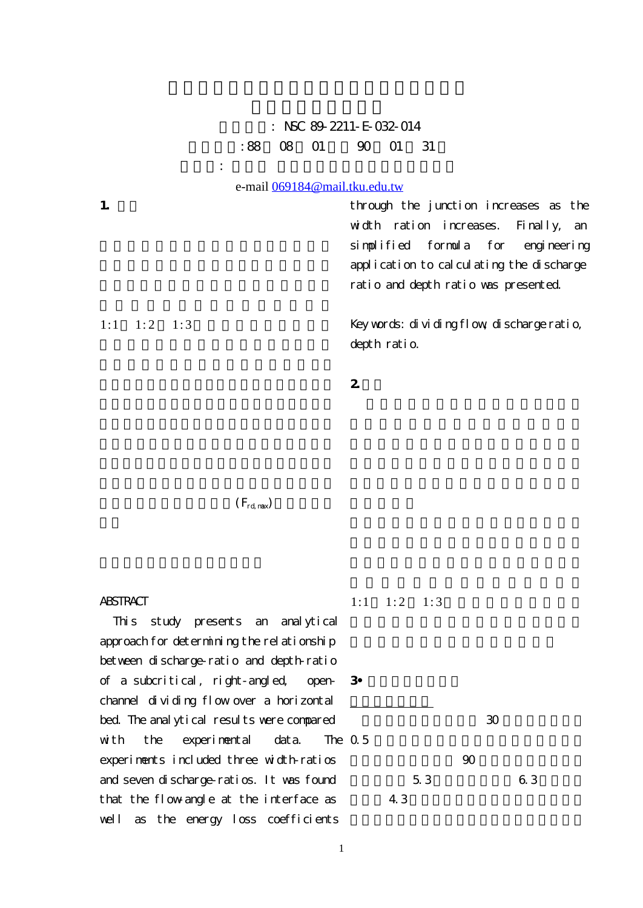### $:$  NSC 89-2211-E-032-014

:88 08 01 90 01 31

# 主持人: 許中杰 淡江大學水資源及環境工程學系 e-mail 069184@mail.tku.edu.tw

through the junction increases as the width ration increases. Finally, an simplified formula for engineering application to calculating the discharge ratio and depth ratio was presented.

 $1:1 \quad 1:2 \quad 1:3$ 

 $1.$ 

Key words: dividing flow, discharge ratio, depth ratio.

2.前言

### $(F_{\text{rd max}})$

**ABSTRACT** 

 $1:1 \quad 1:2 \quad 1:3$ 

 This study presents an analytical approach for determining the relationship between discharge-ratio and depth-ratio of a subcritical, right-angled, openchannel dividing flow over a horizontal bed. The anal ytical results were compared with the experimental data. The 0.5 experiments included three width-ratios and seven discharge-ratios. It was found that the flow-angle at the interface as well as the energy loss coefficients

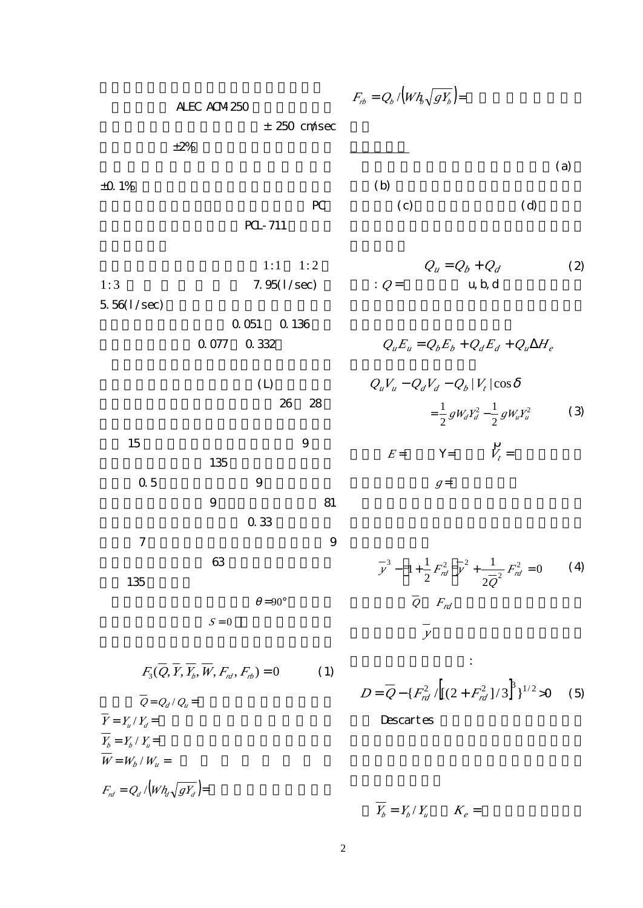ALEC ACM2SO  
\n
$$
F_a = Q_b / (W h_b / sF_a)
$$
 =  
\n+2%  
\n+2%  
\n+2%  
\n+2%  
\n+2%  
\n+2%  
\n+2%  
\n+2%  
\n+2%  
\n+2%  
\n+2%  
\n+2%  
\n+2%  
\n+2%  
\n+2%  
\n+2%  
\n+2%  
\n+2%  
\n+2%  
\n+2%  
\n+2%  
\n+2%  
\n+2%  
\n+2%  
\n+2%  
\n+2%  
\n+2%  
\n+2%  
\n+2%  
\n+2%  
\n+2%  
\n+2%  
\n+2%  
\n+2%  
\n+2%  
\n+2%  
\n+2%  
\n+2%  
\n+2%  
\n+2%  
\n+2%  
\n+2%  
\n+2%  
\n+2%  
\n+2%  
\n+2%  
\n+2%  
\n+2%  
\n+2%  
\n+2%  
\n+2%  
\n+2%  
\n+2%  
\n+2%  
\n+2%  
\n+2%  
\n+2%  
\n+2%  
\n+2%  
\n+2%  
\n+2%  
\n+2%  
\n+2%  
\n+2%  
\n+2%  
\n+2%  
\n+2%  
\n+2%  
\n+2%  
\n+2%  
\n+2%  
\n+2%  
\n+2%  
\n+2%  
\n+2%  
\n+2%  
\n+2%  
\n+2%  
\n+2%  
\n+2%  
\n+2%  
\n+2%  
\n+2%  
\n+2%  
\n+2%  
\n+2%  
\n+2%  
\n+2%  
\n+2%  
\n+2%  
\n+2%  
\n+2%  
\n+2%  
\n+2%  
\n+2%  
\n+2%  
\n+2%  
\n+2%  
\n+2%  
\n+2%  
\n+2%  
\n+2%  
\n+2%  
\n+2%  
\n+2%

 $\overline{Y}_b = Y_b / Y_u$   $K_e =$ 

 $Y_b = Y_b / Y_u =$  $W = W_b / W_u =$ 

 $F_{rd} = Q_d / (Wh_d \sqrt{g Y_d}) =$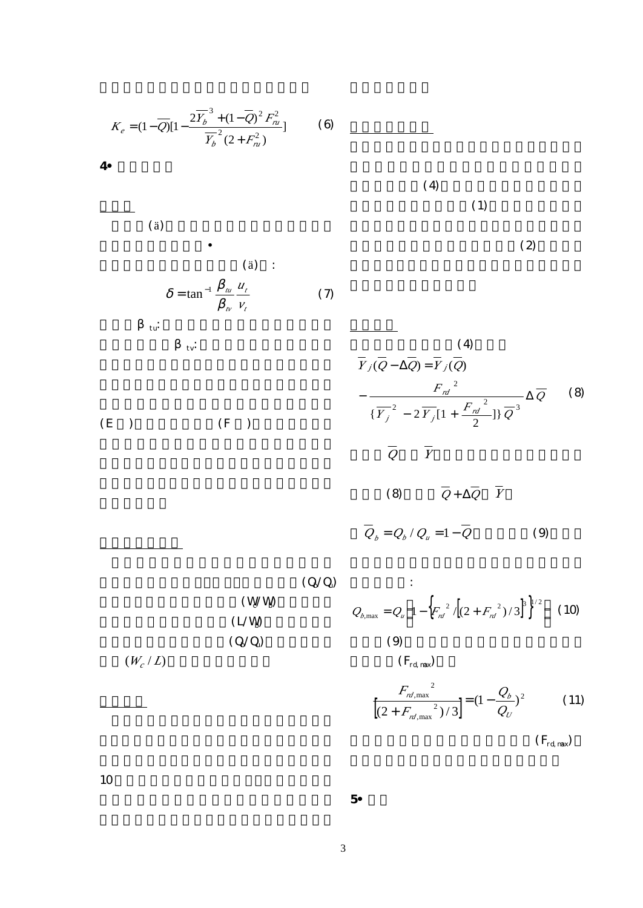$$
K_e = (1 - \overline{Q})[1 - \frac{2\overline{Y_b}^3 + (1 - \overline{Q})^2 \overline{Y_a^2}}{|\overline{Y_b}^2 (2 + \overline{F_a})}]\n\tag{4}
$$
\n
$$
= \text{(a)}
$$
\n
$$
U = \tan^{-1} \frac{S_m u_i}{S_n u_i} \qquad (7)
$$
\n
$$
= \text{(b)}
$$
\n
$$
\text{(c)}
$$
\n
$$
V = \text{(d)}
$$
\n
$$
\text{(e)}
$$
\n
$$
V = \text{(e)}
$$
\n
$$
V = \text{(f)}
$$
\n
$$
= \text{(f)}
$$
\n
$$
\text{(g)}
$$
\n
$$
\overline{Q} = \overline{Y}
$$
\n
$$
\overline{Q} = \overline{Y}
$$
\n
$$
\overline{Q} = \overline{Y}
$$
\n
$$
\overline{Q} = \overline{Y}
$$
\n
$$
\overline{Q} = \overline{Q_k} (Q_n = 1 - \overline{Q}) \qquad (9)
$$
\n
$$
\text{(Q/Q)} \qquad \text{(Q/Q)} \qquad (1)
$$
\n
$$
\text{(f r_{\text{at}} \text{max}})
$$
\n
$$
= \text{(g)} \qquad \overline{Q_{\text{at}} \text{max}} = \text{(h)} \left\{ \frac{1}{2} \left[ \frac{F_n^2}{2} \left[ \left( 2 + \frac{F_n^2}{2} \right) \right] \right\}^2 \right\} \qquad (10)
$$
\n
$$
\text{(h)} \qquad \text{(h)} \qquad \text{(h)} \qquad \text{(i)} \qquad \text{(ii)}
$$
\n
$$
\text{(ii)}
$$
\n
$$
\text{(iii)}
$$
\n
$$
V = \text{(iv)} \qquad \text{(v)} \qquad \text{(vi)}
$$
\n
$$
V = \text{(v)} \qquad \text{(vi)}
$$
\n
$$
V = \text{(v)} \qquad \text{(vi)}
$$
\n
$$
V = \text{(v)} \qquad \text{(vi)}
$$
\n
$$
V = \text{(v)} \qquad \text{(vi)}
$$
\n
$$
V = \text{(vi)}
$$
\n
$$
V = \text{(v
$$

 $(F_{rd, max})$ 

 $10$ 

5‧結論